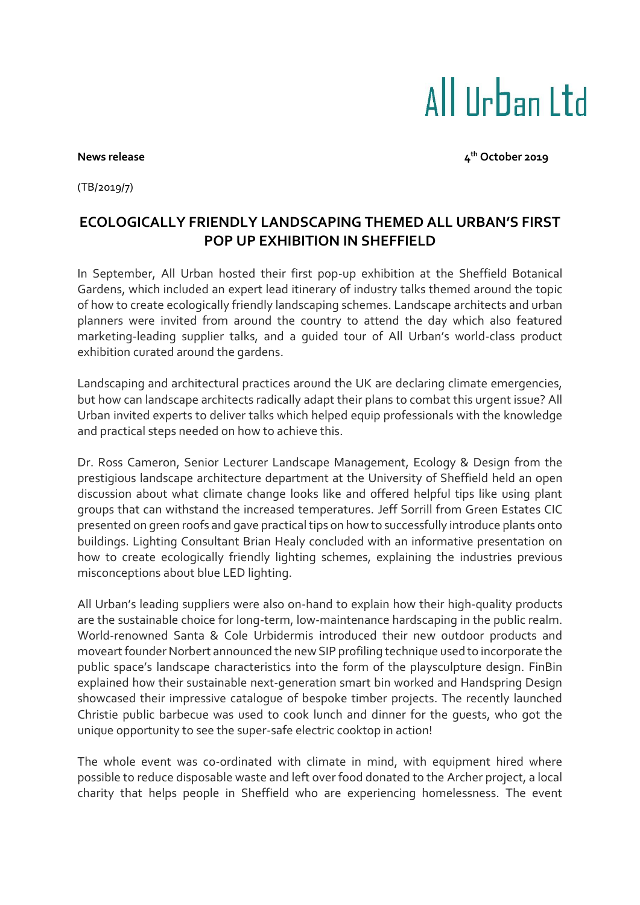## All IIrban I td

**News release** 

**th October 2019**

(TB/2019/7)

## **ECOLOGICALLY FRIENDLY LANDSCAPING THEMED ALL URBAN'S FIRST POP UP EXHIBITION IN SHEFFIELD**

In September, All Urban hosted their first pop-up exhibition at the Sheffield Botanical Gardens, which included an expert lead itinerary of industry talks themed around the topic of how to create ecologically friendly landscaping schemes. Landscape architects and urban planners were invited from around the country to attend the day which also featured marketing-leading supplier talks, and a guided tour of All Urban's world-class product exhibition curated around the gardens.

Landscaping and architectural practices around the UK are declaring climate emergencies, but how can landscape architects radically adapt their plans to combat this urgent issue? All Urban invited experts to deliver talks which helped equip professionals with the knowledge and practical steps needed on how to achieve this.

Dr. Ross Cameron, Senior Lecturer Landscape Management, Ecology & Design from the prestigious landscape architecture department at the University of Sheffield held an open discussion about what climate change looks like and offered helpful tips like using plant groups that can withstand the increased temperatures. Jeff Sorrill from Green Estates CIC presented on green roofs and gave practical tips on how to successfully introduce plants onto buildings. Lighting Consultant Brian Healy concluded with an informative presentation on how to create ecologically friendly lighting schemes, explaining the industries previous misconceptions about blue LED lighting.

All Urban's leading suppliers were also on-hand to explain how their high-quality products are the sustainable choice for long-term, low-maintenance hardscaping in the public realm. World-renowned Santa & Cole Urbidermis introduced their new outdoor products and moveart founder Norbert announced the new SIP profiling technique used to incorporate the public space's landscape characteristics into the form of the playsculpture design. FinBin explained how their sustainable next-generation smart bin worked and Handspring Design showcased their impressive catalogue of bespoke timber projects. The recently launched Christie public barbecue was used to cook lunch and dinner for the guests, who got the unique opportunity to see the super-safe electric cooktop in action!

The whole event was co-ordinated with climate in mind, with equipment hired where possible to reduce disposable waste and left over food donated to the Archer project, a local charity that helps people in Sheffield who are experiencing homelessness. The event